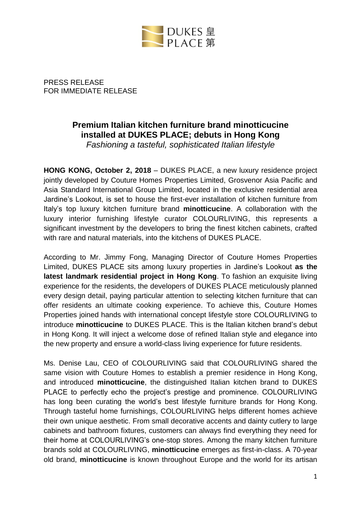

PRESS RELEASE FOR IMMEDIATE RELEASE

# **Premium Italian kitchen furniture brand minotticucine installed at DUKES PLACE; debuts in Hong Kong**

*Fashioning a tasteful, sophisticated Italian lifestyle*

**HONG KONG, October 2, 2018** – DUKES PLACE, a new luxury residence project jointly developed by Couture Homes Properties Limited, Grosvenor Asia Pacific and Asia Standard International Group Limited, located in the exclusive residential area Jardine's Lookout, is set to house the first-ever installation of kitchen furniture from Italy's top luxury kitchen furniture brand **minotticucine**. A collaboration with the luxury interior furnishing lifestyle curator COLOURLIVING, this represents a significant investment by the developers to bring the finest kitchen cabinets, crafted with rare and natural materials, into the kitchens of DUKES PLACE.

According to Mr. Jimmy Fong, Managing Director of Couture Homes Properties Limited, DUKES PLACE sits among luxury properties in Jardine's Lookout **as the latest landmark residential project in Hong Kong**. To fashion an exquisite living experience for the residents, the developers of DUKES PLACE meticulously planned every design detail, paying particular attention to selecting kitchen furniture that can offer residents an ultimate cooking experience. To achieve this, Couture Homes Properties joined hands with international concept lifestyle store COLOURLIVING to introduce **minotticucine** to DUKES PLACE. This is the Italian kitchen brand's debut in Hong Kong. It will inject a welcome dose of refined Italian style and elegance into the new property and ensure a world-class living experience for future residents.

Ms. Denise Lau, CEO of COLOURLIVING said that COLOURLIVING shared the same vision with Couture Homes to establish a premier residence in Hong Kong, and introduced **minotticucine**, the distinguished Italian kitchen brand to DUKES PLACE to perfectly echo the project's prestige and prominence. COLOURLIVING has long been curating the world's best lifestyle furniture brands for Hong Kong. Through tasteful home furnishings, COLOURLIVING helps different homes achieve their own unique aesthetic. From small decorative accents and dainty cutlery to large cabinets and bathroom fixtures, customers can always find everything they need for their home at COLOURLIVING's one-stop stores. Among the many kitchen furniture brands sold at COLOURLIVING, **minotticucine** emerges as first-in-class. A 70-year old brand, **minotticucine** is known throughout Europe and the world for its artisan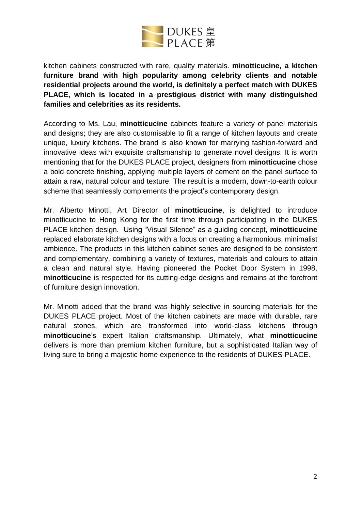

kitchen cabinets constructed with rare, quality materials. **minotticucine, a kitchen furniture brand with high popularity among celebrity clients and notable residential projects around the world, is definitely a perfect match with DUKES PLACE, which is located in a prestigious district with many distinguished families and celebrities as its residents.**

According to Ms. Lau, **minotticucine** cabinets feature a variety of panel materials and designs; they are also customisable to fit a range of kitchen layouts and create unique, luxury kitchens. The brand is also known for marrying fashion-forward and innovative ideas with exquisite craftsmanship to generate novel designs. It is worth mentioning that for the DUKES PLACE project, designers from **minotticucine** chose a bold concrete finishing, applying multiple layers of cement on the panel surface to attain a raw, natural colour and texture. The result is a modern, down-to-earth colour scheme that seamlessly complements the project's contemporary design.

Mr. Alberto Minotti, Art Director of **minotticucine**, is delighted to introduce minotticucine to Hong Kong for the first time through participating in the DUKES PLACE kitchen design. Using "Visual Silence" as a guiding concept, **minotticucine** replaced elaborate kitchen designs with a focus on creating a harmonious, minimalist ambience. The products in this kitchen cabinet series are designed to be consistent and complementary, combining a variety of textures, materials and colours to attain a clean and natural style. Having pioneered the Pocket Door System in 1998, **minotticucine** is respected for its cutting-edge designs and remains at the forefront of furniture design innovation.

Mr. Minotti added that the brand was highly selective in sourcing materials for the DUKES PLACE project. Most of the kitchen cabinets are made with durable, rare natural stones, which are transformed into world-class kitchens through **minotticucine**'s expert Italian craftsmanship. Ultimately, what **minotticucine** delivers is more than premium kitchen furniture, but a sophisticated Italian way of living sure to bring a majestic home experience to the residents of DUKES PLACE.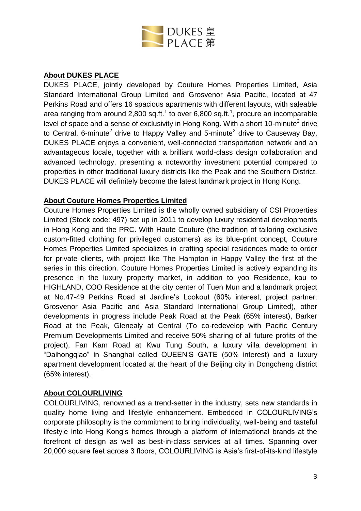

## **About DUKES PLACE**

DUKES PLACE, jointly developed by Couture Homes Properties Limited, Asia Standard International Group Limited and Grosvenor Asia Pacific, located at 47 Perkins Road and offers 16 spacious apartments with different layouts, with saleable area ranging from around 2,800 sq.ft.<sup>1</sup> to over 6,800 sq.ft.<sup>1</sup>, procure an incomparable level of space and a sense of exclusivity in Hong Kong. With a short 10-minute<sup>2</sup> drive to Central, 6-minute<sup>2</sup> drive to Happy Valley and 5-minute<sup>2</sup> drive to Causeway Bay, DUKES PLACE enjoys a convenient, well-connected transportation network and an advantageous locale, together with a brilliant world-class design collaboration and advanced technology, presenting a noteworthy investment potential compared to properties in other traditional luxury districts like the Peak and the Southern District. DUKES PLACE will definitely become the latest landmark project in Hong Kong.

## **About Couture Homes Properties Limited**

Couture Homes Properties Limited is the wholly owned subsidiary of CSI Properties Limited (Stock code: 497) set up in 2011 to develop luxury residential developments in Hong Kong and the PRC. With Haute Couture (the tradition of tailoring exclusive custom-fitted clothing for privileged customers) as its blue-print concept, Couture Homes Properties Limited specializes in crafting special residences made to order for private clients, with project like The Hampton in Happy Valley the first of the series in this direction. Couture Homes Properties Limited is actively expanding its presence in the luxury property market, in addition to yoo Residence, kau to HIGHLAND, COO Residence at the city center of Tuen Mun and a landmark project at No.47-49 Perkins Road at Jardine's Lookout (60% interest, project partner: Grosvenor Asia Pacific and Asia Standard International Group Limited), other developments in progress include Peak Road at the Peak (65% interest), Barker Road at the Peak, Glenealy at Central (To co-redevelop with Pacific Century Premium Developments Limited and receive 50% sharing of all future profits of the project), Fan Kam Road at Kwu Tung South, a luxury villa development in "Daihongqiao" in Shanghai called QUEEN'S GATE (50% interest) and a luxury apartment development located at the heart of the Beijing city in Dongcheng district (65% interest).

#### **About COLOURLIVING**

COLOURLIVING, renowned as a trend-setter in the industry, sets new standards in quality home living and lifestyle enhancement. Embedded in COLOURLIVING's corporate philosophy is the commitment to bring individuality, well-being and tasteful lifestyle into Hong Kong's homes through a platform of international brands at the forefront of design as well as best-in-class services at all times. Spanning over 20,000 square feet across 3 floors, COLOURLIVING is Asia's first-of-its-kind lifestyle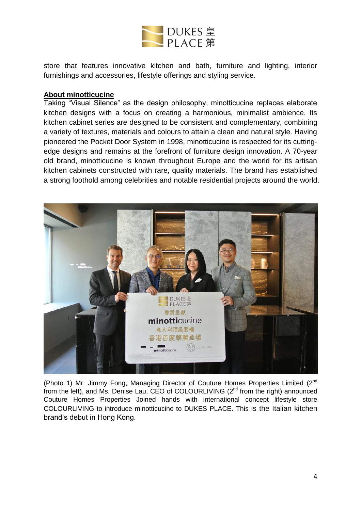

store that features innovative kitchen and bath, furniture and lighting, interior furnishings and accessories, lifestyle offerings and styling service.

#### **About minotticucine**

Taking "Visual Silence" as the design philosophy, minotticucine replaces elaborate kitchen designs with a focus on creating a harmonious, minimalist ambience. Its kitchen cabinet series are designed to be consistent and complementary, combining a variety of textures, materials and colours to attain a clean and natural style. Having pioneered the Pocket Door System in 1998, minotticucine is respected for its cuttingedge designs and remains at the forefront of furniture design innovation. A 70-year old brand, minotticucine is known throughout Europe and the world for its artisan kitchen cabinets constructed with rare, quality materials. The brand has established a strong foothold among celebrities and notable residential projects around the world.



(Photo 1) Mr. Jimmy Fong, Managing Director of Couture Homes Properties Limited (2nd from the left), and Ms. Denise Lau, CEO of COLOURLIVING  $(2^{nd}$  from the right) announced Couture Homes Properties Joined hands with international concept lifestyle store COLOURLIVING to introduce minotticucine to DUKES PLACE. This is the Italian kitchen brand's debut in Hong Kong.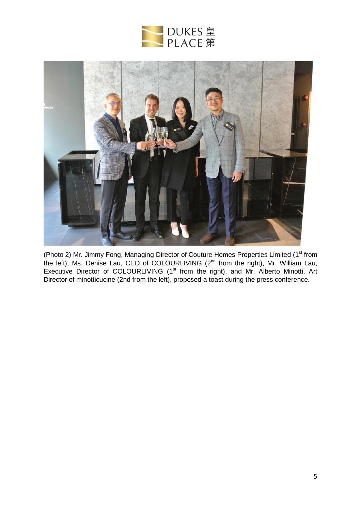



(Photo 2) Mr. Jimmy Fong, Managing Director of Couture Homes Properties Limited (1<sup>st</sup> from the left), Ms. Denise Lau, CEO of COLOURLIVING (2<sup>nd</sup> from the right), Mr. William Lau, Executive Director of COLOURLIVING (1<sup>st</sup> from the right), and Mr. Alberto Minotti, Art Director of minotticucine (2nd from the left), proposed a toast during the press conference.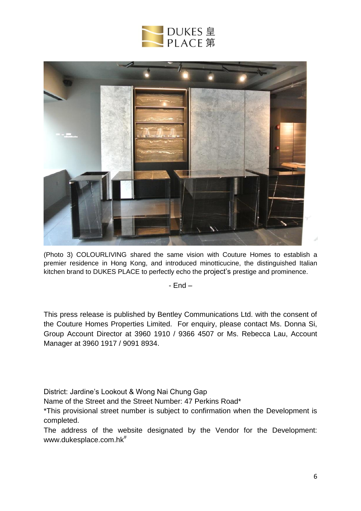



(Photo 3) COLOURLIVING shared the same vision with Couture Homes to establish a premier residence in Hong Kong, and introduced minotticucine, the distinguished Italian kitchen brand to DUKES PLACE to perfectly echo the project's prestige and prominence.

- End –

This press release is published by Bentley Communications Ltd. with the consent of the Couture Homes Properties Limited. For enquiry, please contact Ms. Donna Si, Group Account Director at 3960 1910 / 9366 4507 or Ms. Rebecca Lau, Account Manager at 3960 1917 / 9091 8934.

District: Jardine's Lookout & Wong Nai Chung Gap

Name of the Street and the Street Number: 47 Perkins Road\*

\*This provisional street number is subject to confirmation when the Development is completed.

The address of the website designated by the Vendor for the Development: [www.dukesplace.com.hk](http://www.dukesplace.com.hk/)<sup>#</sup>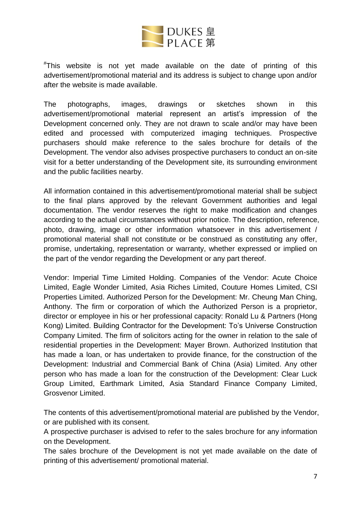

# This website is not yet made available on the date of printing of this advertisement/promotional material and its address is subject to change upon and/or after the website is made available.

The photographs, images, drawings or sketches shown in this advertisement/promotional material represent an artist's impression of the Development concerned only. They are not drawn to scale and/or may have been edited and processed with computerized imaging techniques. Prospective purchasers should make reference to the sales brochure for details of the Development. The vendor also advises prospective purchasers to conduct an on-site visit for a better understanding of the Development site, its surrounding environment and the public facilities nearby.

All information contained in this advertisement/promotional material shall be subject to the final plans approved by the relevant Government authorities and legal documentation. The vendor reserves the right to make modification and changes according to the actual circumstances without prior notice. The description, reference, photo, drawing, image or other information whatsoever in this advertisement / promotional material shall not constitute or be construed as constituting any offer, promise, undertaking, representation or warranty, whether expressed or implied on the part of the vendor regarding the Development or any part thereof.

Vendor: Imperial Time Limited Holding. Companies of the Vendor: Acute Choice Limited, Eagle Wonder Limited, Asia Riches Limited, Couture Homes Limited, CSI Properties Limited. Authorized Person for the Development: Mr. Cheung Man Ching, Anthony. The firm or corporation of which the Authorized Person is a proprietor, director or employee in his or her professional capacity: Ronald Lu & Partners (Hong Kong) Limited. Building Contractor for the Development: To's Universe Construction Company Limited. The firm of solicitors acting for the owner in relation to the sale of residential properties in the Development: Mayer Brown. Authorized Institution that has made a loan, or has undertaken to provide finance, for the construction of the Development: Industrial and Commercial Bank of China (Asia) Limited. Any other person who has made a loan for the construction of the Development: Clear Luck Group Limited, Earthmark Limited, Asia Standard Finance Company Limited, Grosvenor Limited.

The contents of this advertisement/promotional material are published by the Vendor, or are published with its consent.

A prospective purchaser is advised to refer to the sales brochure for any information on the Development.

The sales brochure of the Development is not yet made available on the date of printing of this advertisement/ promotional material.